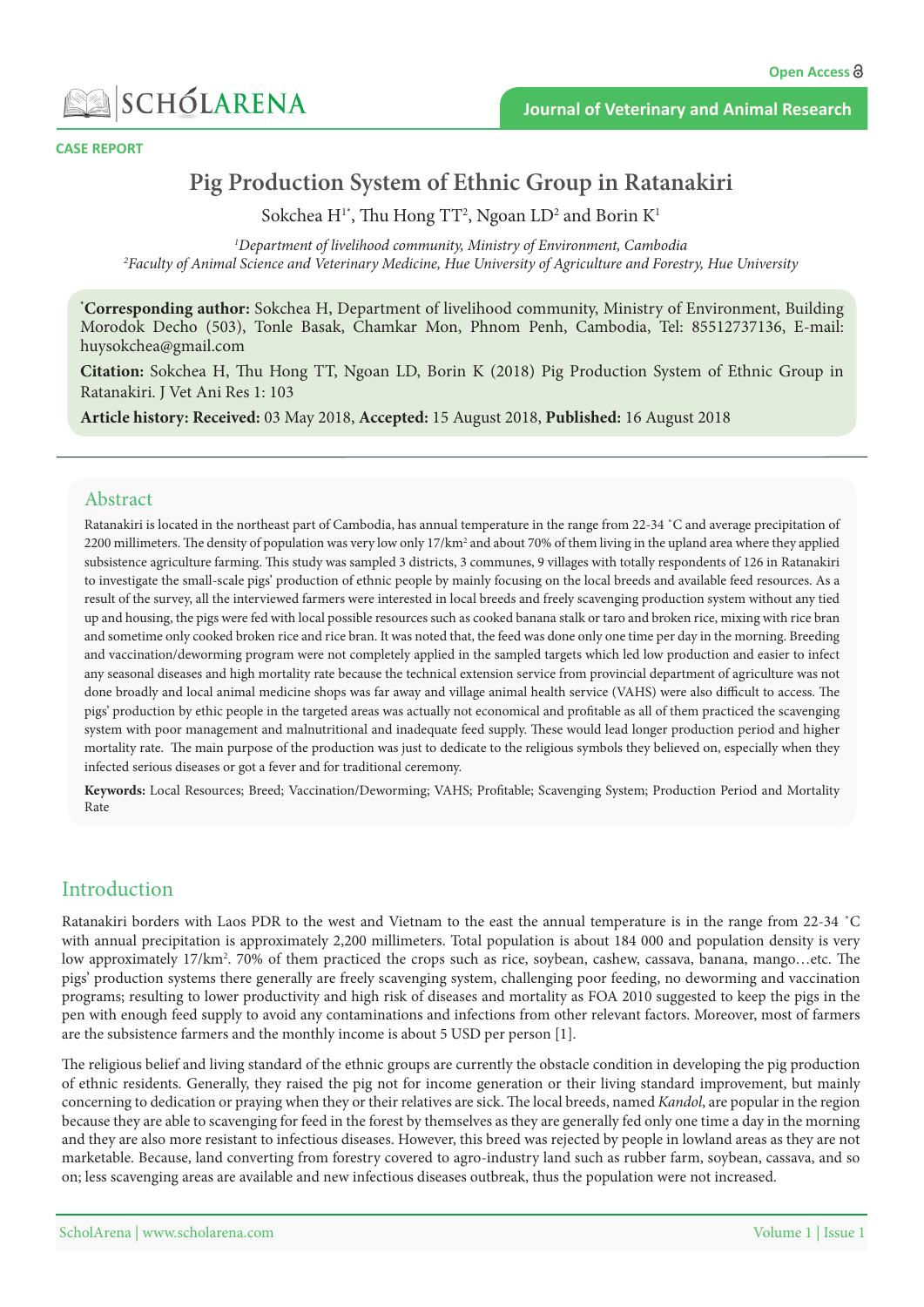

**CASE REPORT** 

# **Pig Production System of Ethnic Group in Ratanakiri**

Sokchea  $\mathrm{H}^{\scriptscriptstyle{1}*}$ , Thu Hong TT<sup>2</sup>, Ngoan LD<sup>2</sup> and Borin  $\mathrm{K}^{\scriptscriptstyle{1}}$ 

<sup>1</sup>Department of livelihood community, Ministry of Environment, Cambodia<br><sup>2</sup>Faculty of Animal Science and Veterinary Medicine. Hue University of Agriculture and Eorest <sup>2</sup> Faculty of Animal Science and Veterinary Medicine, Hue University of Agriculture and Forestry, Hue University

\*Corresponding author: Sokchea H, Department of livelihood community, Ministry of Environment, Building Morodok Decho (503), Tonle Basak, Chamkar Mon, Phnom Penh, Cambodia, Tel: 85512737136, E-mail: huysokchea@gmail.com

**Citation:** Sokchea H, Thu Hong TT, Ngoan LD, Borin K (2018) Pig Production System of Ethnic Group in Ratanakiri. J Vet Ani Res 1: 103

Article history: Received: 03 May 2018, Accepted: 15 August 2018, Published: 16 August 2018

#### Abstract

Ratanakiri is located in the northeast part of Cambodia, has annual temperature in the range from 22-34 °C and average precipitation of 2200 millimeters. The density of population was very low only  $17/\text{km}^2$  and about 70% of them living in the upland area where they applied subsistence agriculture farming. This study was sampled 3 districts, 3 communes, 9 villages with totally respondents of 126 in Ratanakiri to investigate the small-scale pigs' production of ethnic people by mainly focusing on the local breeds and available feed resources. As a result of the survey, all the interviewed farmers were interested in local breeds and freely scavenging production system without any tied up and housing, the pigs were fed with local possible resources such as cooked banana stalk or taro and broken rice, mixing with rice bran and sometime only cooked broken rice and rice bran. It was noted that, the feed was done only one time per day in the morning. Breeding and vaccination/deworming program were not completely applied in the sampled targets which led low production and easier to infect any seasonal diseases and high mortality rate because the technical extension service from provincial department of agriculture was not done broadly and local animal medicine shops was far away and village animal health service (VAHS) were also difficult to access. The pigs' production by ethic people in the targeted areas was actually not economical and profitable as all of them practiced the scavenging system with poor management and malnutritional and inadequate feed supply. These would lead longer production period and higher mortality rate. The main purpose of the production was just to dedicate to the religious symbols they believed on, especially when they infected serious diseases or got a fever and for traditional ceremony.

Keywords: Local Resources; Breed; Vaccination/Deworming; VAHS; Profitable; Scavenging System; Production Period and Mortality Rate

### Introduction

Ratanakiri borders with Laos PDR to the west and Vietnam to the east the annual temperature is in the range from 22-34 °C with annual precipitation is approximately 2,200 millimeters. Total population is about 184 000 and population density is very low approximately 17/km<sup>2</sup>. 70% of them practiced the crops such as rice, soybean, cashew, cassava, banana, mango…etc. The pigs' production systems there generally are freely scavenging system, challenging poor feeding, no deworming and vaccination programs; resulting to lower productivity and high risk of diseases and mortality as FOA 2010 suggested to keep the pigs in the pen with enough feed supply to avoid any contaminations and infections from other relevant factors. Moreover, most of farmers are the subsistence farmers and the monthly income is about 5 USD per person [1].

The religious belief and living standard of the ethnic groups are currently the obstacle condition in developing the pig production of ethnic residents. Generally, they raised the pig not for income generation or their living standard improvement, but mainly concerning to dedication or praying when they or their relatives are sick. The local breeds, named *Kandol*, are popular in the region because they are able to scavenging for feed in the forest by themselves as they are generally fed only one time a day in the morning and they are also more resistant to infectious diseases. However, this breed was rejected by people in lowland areas as they are not marketable. Because, land converting from forestry covered to agro-industry land such as rubber farm, soybean, cassava, and so on; less scavenging areas are available and new infectious diseases outbreak, thus the population were not increased.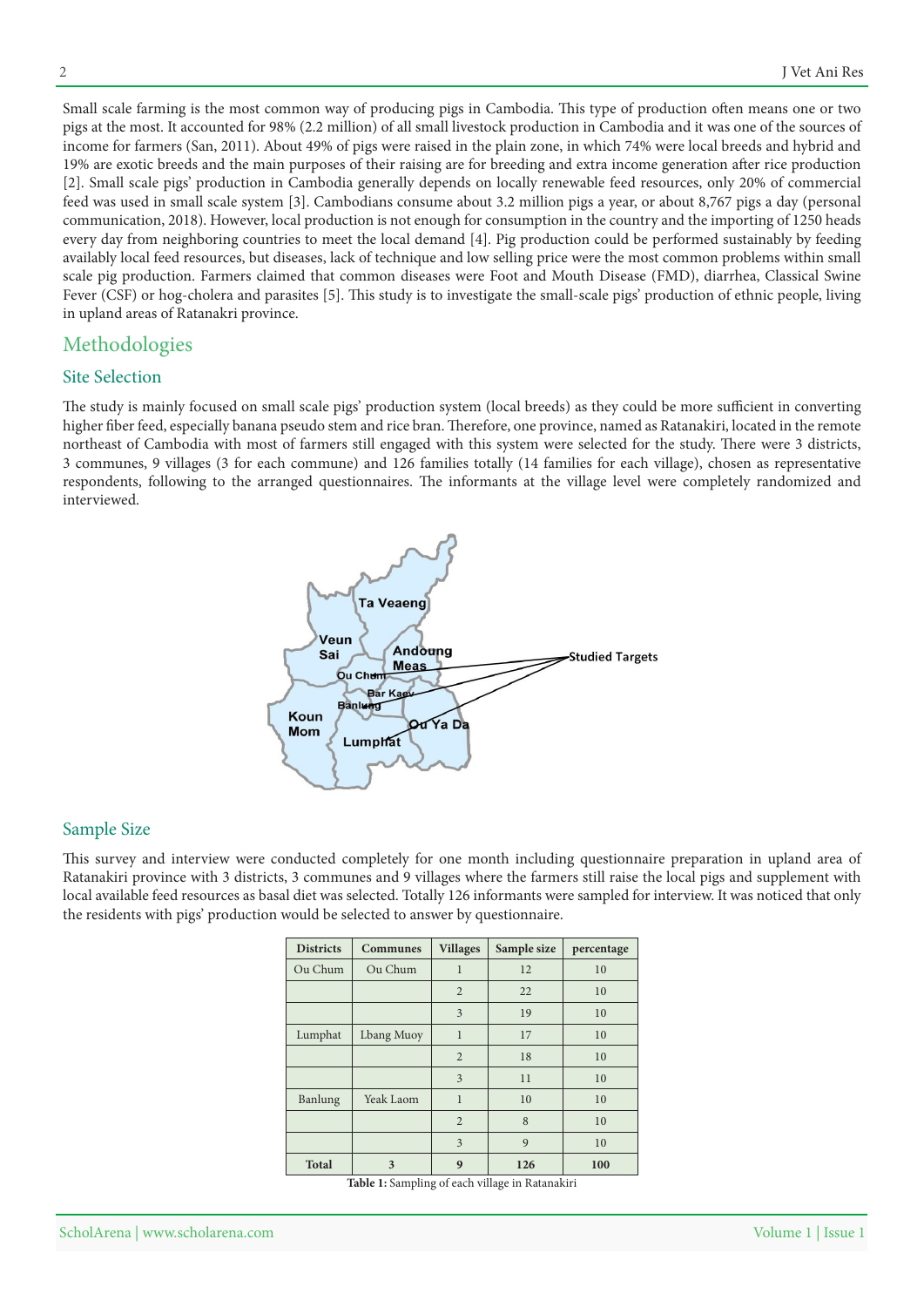Small scale farming is the most common way of producing pigs in Cambodia. This type of production often means one or two pigs at the most. It accounted for 98% (2.2 million) of all small livestock production in Cambodia and it was one of the sources of income for farmers (San, 2011). About 49% of pigs were raised in the plain zone, in which 74% were local breeds and hybrid and 19% are exotic breeds and the main purposes of their raising are for breeding and extra income generation after rice production [2]. Small scale pigs' production in Cambodia generally depends on locally renewable feed resources, only 20% of commercial feed was used in small scale system [3]. Cambodians consume about 3.2 million pigs a year, or about 8,767 pigs a day (personal communication, 2018). However, local production is not enough for consumption in the country and the importing of 1250 heads every day from neighboring countries to meet the local demand [4]. Pig production could be performed sustainably by feeding availably local feed resources, but diseases, lack of technique and low selling price were the most common problems within small scale pig production. Farmers claimed that common diseases were Foot and Mouth Disease (FMD), diarrhea, Classical Swine Fever (CSF) or hog-cholera and parasites [5]. This study is to investigate the small-scale pigs' production of ethnic people, living in upland areas of Ratanakri province.

### Methodologies

#### **Site Selection**

The study is mainly focused on small scale pigs' production system (local breeds) as they could be more sufficient in converting higher fiber feed, especially banana pseudo stem and rice bran. Therefore, one province, named as Ratanakiri, located in the remote northeast of Cambodia with most of farmers still engaged with this system were selected for the study. There were 3 districts, 3 communes, 9 villages (3 for each commune) and 126 families totally (14 families for each village), chosen as representative respondents, following to the arranged questionnaires. The informants at the village level were completely randomized and interviewed.



#### Sample Size

This survey and interview were conducted completely for one month including questionnaire preparation in upland area of Ratanakiri province with 3 districts, 3 communes and 9 villages where the farmers still raise the local pigs and supplement with local available feed resources as basal diet was selected. Totally 126 informants were sampled for interview. It was noticed that only the residents with pigs' production would be selected to answer by questionnaire.

| <b>Districts</b> | <b>Communes</b> | <b>Villages</b> | Sample size | percentage |
|------------------|-----------------|-----------------|-------------|------------|
| Ou Chum          | Ou Chum         | $\mathbf{1}$    | 12          | 10         |
|                  |                 | $\overline{2}$  | 22          | 10         |
|                  |                 | 3               | 19          | 10         |
| Lumphat          | Lbang Muoy      | $\mathbf{1}$    | 17          | 10         |
|                  |                 | 2               | 18          | 10         |
|                  |                 | 3               | 11          | 10         |
| Banlung          | Yeak Laom       | $\mathbf{1}$    | 10          | 10         |
|                  |                 | $\overline{2}$  | 8           | 10         |
|                  |                 | 3               | 9           | 10         |
| <b>Total</b>     | 3               | 9               | 126         | 100        |

Table 1: Sampling of each village in Ratanakiri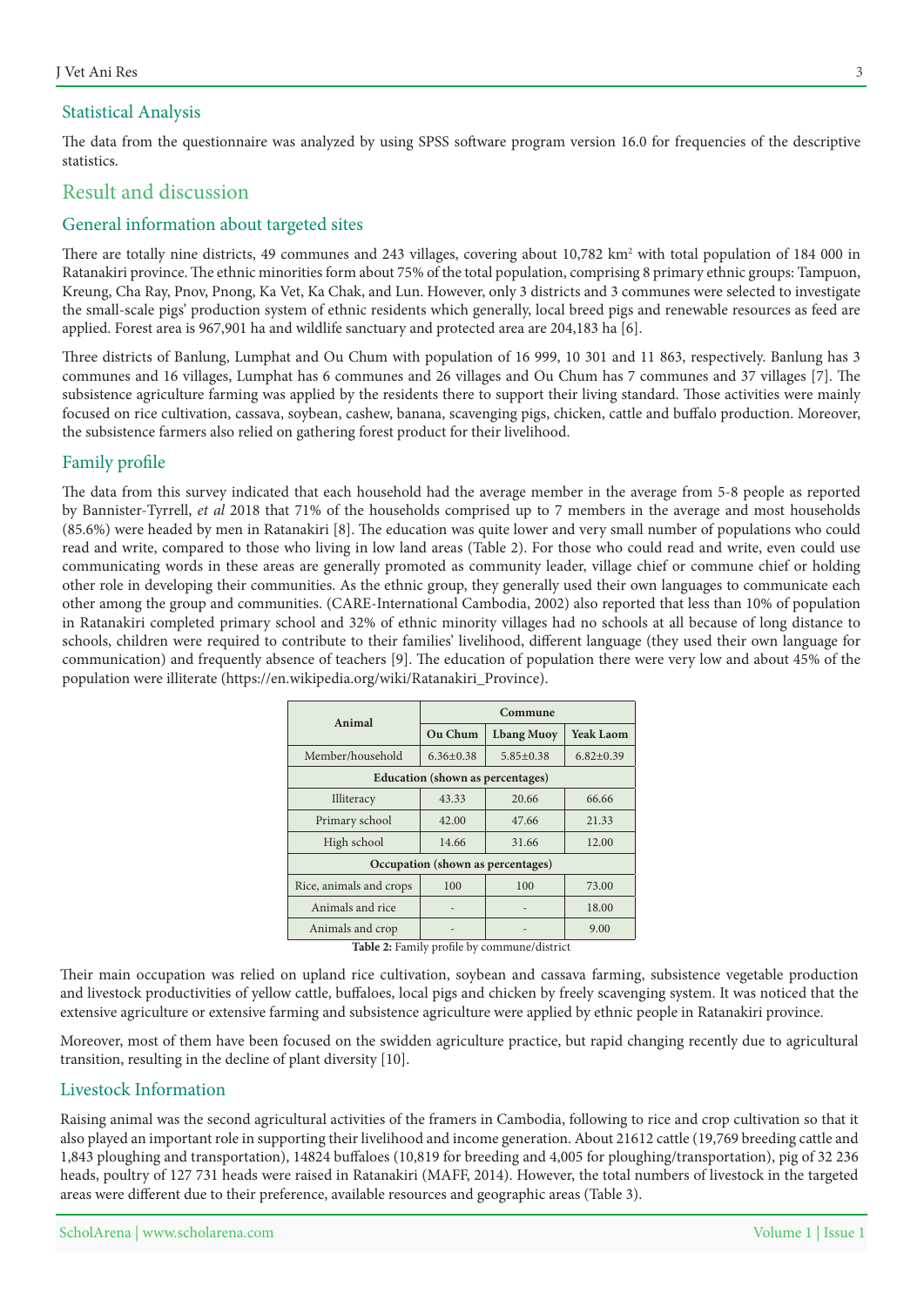#### **Statistical Analysis**

The data from the questionnaire was analyzed by using SPSS software program version 16.0 for frequencies of the descriptive statistics.

## Result and discussion

### General information about targeted sites

There are totally nine districts, 49 communes and 243 villages, covering about 10,782 km<sup>2</sup> with total population of 184 000 in Ratanakiri province. The ethnic minorities form about 75% of the total population, comprising 8 primary ethnic groups: Tampuon, Kreung, Cha Ray, Pnov, Pnong, Ka Vet, Ka Chak, and Lun. However, only 3 districts and 3 communes were selected to investigate the small-scale pigs' production system of ethnic residents which generally, local breed pigs and renewable resources as feed are applied. Forest area is 967,901 ha and wildlife sanctuary and protected area are 204,183 ha [6].

Three districts of Banlung, Lumphat and Ou Chum with population of 16 999, 10 301 and 11 863, respectively. Banlung has 3 communes and 16 villages, Lumphat has 6 communes and 26 villages and Ou Chum has 7 communes and 37 villages [7]. The subsistence agriculture farming was applied by the residents there to support their living standard. Those activities were mainly focused on rice cultivation, cassava, soybean, cashew, banana, scavenging pigs, chicken, cattle and buffalo production. Moreover, the subsistence farmers also relied on gathering forest product for their livelihood.

#### Family profile

The data from this survey indicated that each household had the average member in the average from 5-8 people as reported by Bannister-Tyrrell, et al 2018 that 71% of the households comprised up to 7 members in the average and most households  $(85.6%)$  were headed by men in Ratanakiri [8]. The education was quite lower and very small number of populations who could read and write, compared to those who living in low land areas (Table 2). For those who could read and write, even could use communicating words in these areas are generally promoted as community leader, village chief or commune chief or holding other role in developing their communities. As the ethnic group, they generally used their own languages to communicate each other among the group and communities. (CARE-International Cambodia, 2002) also reported that less than 10% of population in Ratanakiri completed primary school and 32% of ethnic minority villages had no schools at all because of long distance to schools, children were required to contribute to their families' livelihood, different language (they used their own language for communication) and frequently absence of teachers [9]. The education of population there were very low and about 45% of the population were illiterate (https://en.wikipedia.org/wiki/Ratanakiri\_Province).

| Animal                                  | Commune         |                   |                  |  |
|-----------------------------------------|-----------------|-------------------|------------------|--|
|                                         | Ou Chum         | <b>Lbang Muoy</b> | <b>Yeak Laom</b> |  |
| Member/household                        | $6.36 \pm 0.38$ | $5.85+0.38$       | $6.82 \pm 0.39$  |  |
| <b>Education</b> (shown as percentages) |                 |                   |                  |  |
| Illiteracy                              | 43.33           | 20.66             | 66.66            |  |
| Primary school                          | 42.00           | 47.66             | 21.33            |  |
| High school                             | 14.66           | 31.66             | 12.00            |  |
| Occupation (shown as percentages)       |                 |                   |                  |  |
| Rice, animals and crops                 | 100             | 100               | 73.00            |  |
| Animals and rice                        |                 |                   | 18.00            |  |
| Animals and crop                        |                 |                   | 9.00             |  |

Table 2: Family profile by commune/district

Their main occupation was relied on upland rice cultivation, soybean and cassava farming, subsistence vegetable production and livestock productivities of yellow cattle, buffaloes, local pigs and chicken by freely scavenging system. It was noticed that the extensive agriculture or extensive farming and subsistence agriculture were applied by ethnic people in Ratanakiri province.

Moreover, most of them have been focused on the swidden agriculture practice, but rapid changing recently due to agricultural transition, resulting in the decline of plant diversity [10].

#### Livestock Information

Raising animal was the second agricultural activities of the framers in Cambodia, following to rice and crop cultivation so that it also played an important role in supporting their livelihood and income generation. About 21612 cattle (19,769 breeding cattle and 1,843 ploughing and transportation), 14824 buffaloes (10,819 for breeding and 4,005 for ploughing/transportation), pig of 32 236 heads, poultry of 127 731 heads were raised in Ratanakiri (MAFF, 2014). However, the total numbers of livestock in the targeted areas were different due to their preference, available resources and geographic areas (Table 3).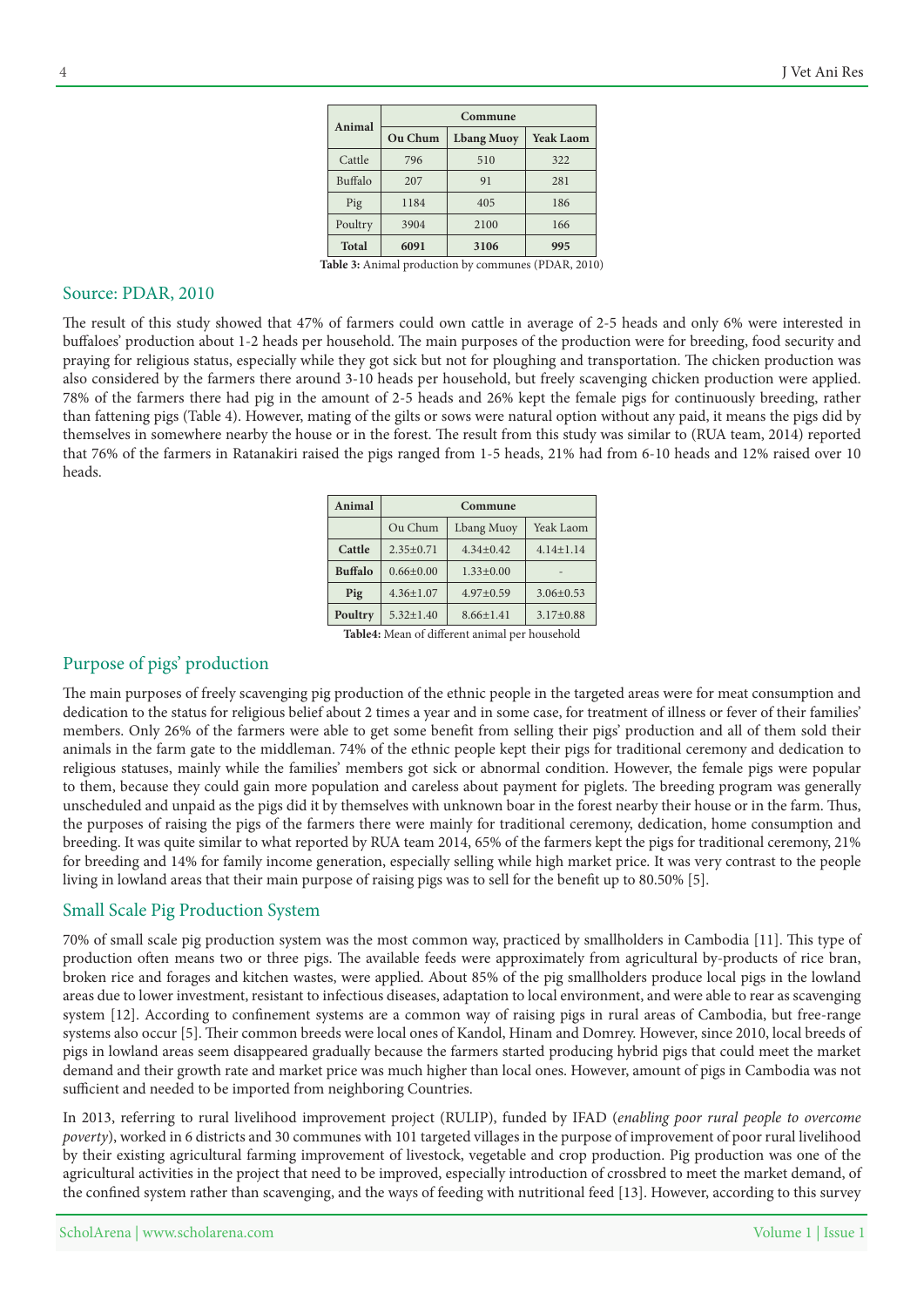| Animal       | Commune |                   |                  |  |
|--------------|---------|-------------------|------------------|--|
|              | Ou Chum | <b>Lbang Muoy</b> | <b>Yeak Laom</b> |  |
| Cattle       | 796     | 510               | 322              |  |
| Buffalo      | 207     | 91                | 281              |  |
| Pig          | 1184    | 405               | 186              |  |
| Poultry      | 3904    | 2100              | 166              |  |
| <b>Total</b> | 6091    | 3106              | 995              |  |

Table 3: Animal production by communes (PDAR, 2010)

#### Source: PDAR, 2010

The result of this study showed that 47% of farmers could own cattle in average of 2-5 heads and only 6% were interested in buffaloes' production about 1-2 heads per household. The main purposes of the production were for breeding, food security and praying for religious status, especially while they got sick but not for ploughing and transportation. The chicken production was also considered by the farmers there around 3-10 heads per household, but freely scavenging chicken production were applied. 78% of the farmers there had pig in the amount of 2-5 heads and 26% kept the female pigs for continuously breeding, rather than fattening pigs (Table 4). However, mating of the gilts or sows were natural option without any paid, it means the pigs did by themselves in somewhere nearby the house or in the forest. The result from this study was similar to (RUA team, 2014) reported that 76% of the farmers in Ratanakiri raised the pigs ranged from 1-5 heads, 21% had from 6-10 heads and 12% raised over 10 .heads

| Animal         | Commune         |                 |                 |
|----------------|-----------------|-----------------|-----------------|
|                | Ou Chum         | Lbang Muoy      | Yeak Laom       |
| Cattle         | $2.35+0.71$     | $4.34 + 0.42$   | $4.14 + 1.14$   |
| <b>Buffalo</b> | $0.66 \pm 0.00$ | $1.33 \pm 0.00$ |                 |
| Pig            | $4.36 \pm 1.07$ | $4.97 \pm 0.59$ | $3.06 \pm 0.53$ |
| Poultry        | $5.32 + 1.40$   | $8.66 \pm 1.41$ | $3.17+0.88$     |

Table4: Mean of different animal per household

### Purpose of pigs' production

The main purposes of freely scavenging pig production of the ethnic people in the targeted areas were for meat consumption and dedication to the status for religious belief about 2 times a year and in some case, for treatment of illness or fever of their families' members. Only 26% of the farmers were able to get some benefit from selling their pigs' production and all of them sold their animals in the farm gate to the middleman. 74% of the ethnic people kept their pigs for traditional ceremony and dedication to religious statuses, mainly while the families' members got sick or abnormal condition. However, the female pigs were popular to them, because they could gain more population and careless about payment for piglets. The breeding program was generally unscheduled and unpaid as the pigs did it by themselves with unknown boar in the forest nearby their house or in the farm. Thus, the purposes of raising the pigs of the farmers there were mainly for traditional ceremony, dedication, home consumption and breeding. It was quite similar to what reported by RUA team 2014, 65% of the farmers kept the pigs for traditional ceremony, 21% for breeding and 14% for family income generation, especially selling while high market price. It was very contrast to the people living in lowland areas that their main purpose of raising pigs was to sell for the benefit up to 80.50% [5].

#### Small Scale Pig Production System

70% of small scale pig production system was the most common way, practiced by smallholders in Cambodia [11]. This type of production often means two or three pigs. The available feeds were approximately from agricultural by-products of rice bran, broken rice and forages and kitchen wastes, were applied. About 85% of the pig smallholders produce local pigs in the lowland areas due to lower investment, resistant to infectious diseases, adaptation to local environment, and were able to rear as scavenging system [12]. According to confinement systems are a common way of raising pigs in rural areas of Cambodia, but free-range systems also occur [5]. Their common breeds were local ones of Kandol, Hinam and Domrey. However, since 2010, local breeds of pigs in lowland areas seem disappeared gradually because the farmers started producing hybrid pigs that could meet the market demand and their growth rate and market price was much higher than local ones. However, amount of pigs in Cambodia was not sufficient and needed to be imported from neighboring Countries.

In 2013, referring to rural livelihood improvement project (RULIP), funded by IFAD (*enabling poor rural people to overcome* poverty), worked in 6 districts and 30 communes with 101 targeted villages in the purpose of improvement of poor rural livelihood by their existing agricultural farming improvement of livestock, vegetable and crop production. Pig production was one of the agricultural activities in the project that need to be improved, especially introduction of crossbred to meet the market demand, of the confined system rather than scavenging, and the ways of feeding with nutritional feed [13]. However, according to this survey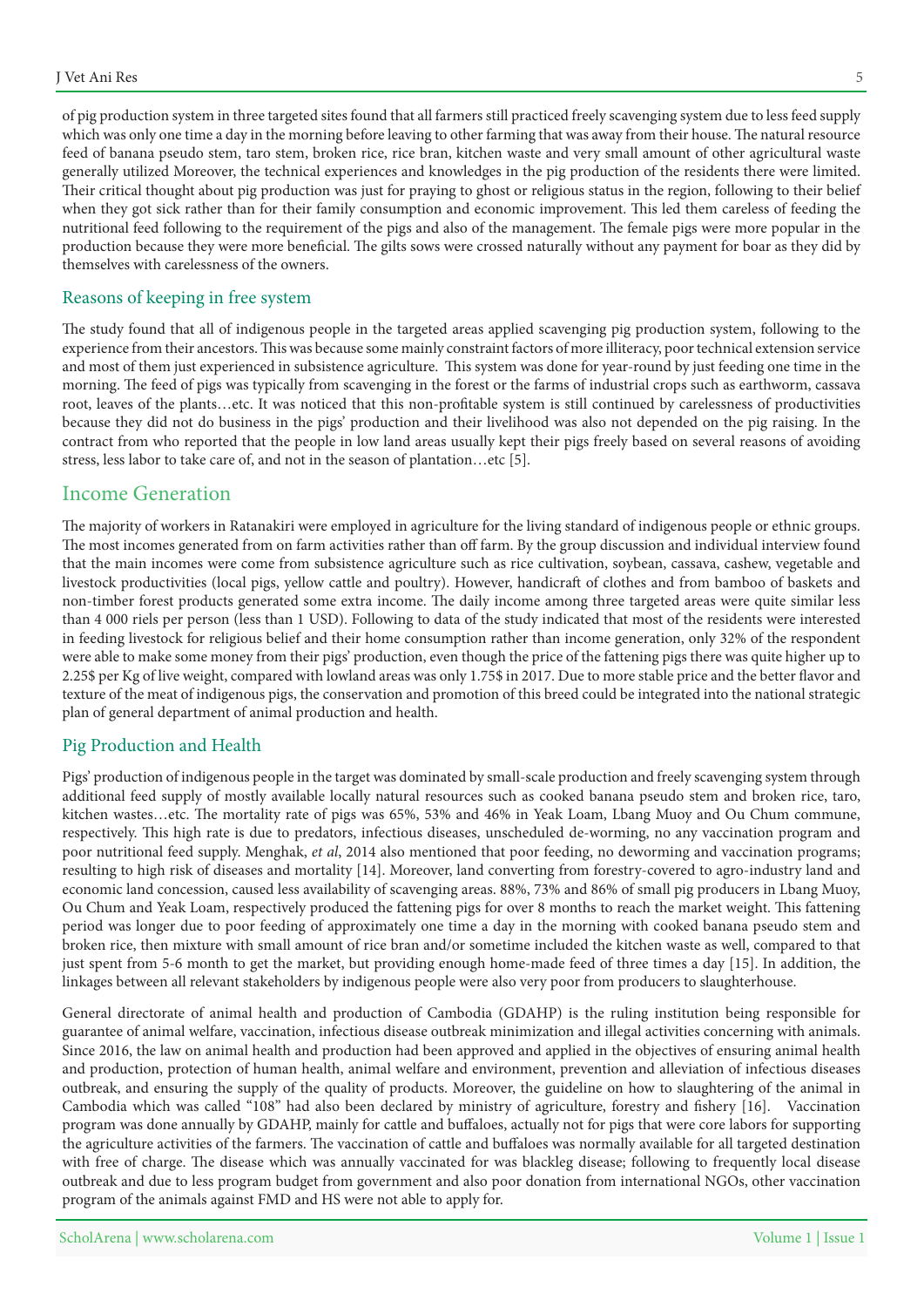of pig production system in three targeted sites found that all farmers still practiced freely scavenging system due to less feed supply which was only one time a day in the morning before leaving to other farming that was away from their house. The natural resource feed of banana pseudo stem, taro stem, broken rice, rice bran, kitchen waste and very small amount of other agricultural waste generally utilized Moreover, the technical experiences and knowledges in the pig production of the residents there were limited. Their critical thought about pig production was just for praying to ghost or religious status in the region, following to their belief when they got sick rather than for their family consumption and economic improvement. This led them careless of feeding the nutritional feed following to the requirement of the pigs and also of the management. The female pigs were more popular in the production because they were more beneficial. The gilts sows were crossed naturally without any payment for boar as they did by themselves with carelessness of the owners.

### Reasons of keeping in free system

The study found that all of indigenous people in the targeted areas applied scavenging pig production system, following to the experience from their ancestors. This was because some mainly constraint factors of more illiteracy, poor technical extension service and most of them just experienced in subsistence agriculture. This system was done for year-round by just feeding one time in the morning. The feed of pigs was typically from scavenging in the forest or the farms of industrial crops such as earthworm, cassava root, leaves of the plants...etc. It was noticed that this non-profitable system is still continued by carelessness of productivities because they did not do business in the pigs' production and their livelihood was also not depended on the pig raising. In the contract from who reported that the people in low land areas usually kept their pigs freely based on several reasons of avoiding stress, less labor to take care of, and not in the season of plantation...etc [5].

### Income Generation

The majority of workers in Ratanakiri were employed in agriculture for the living standard of indigenous people or ethnic groups. The most incomes generated from on farm activities rather than off farm. By the group discussion and individual interview found that the main incomes were come from subsistence agriculture such as rice cultivation, soybean, cassava, cashew, vegetable and livestock productivities (local pigs, yellow cattle and poultry). However, handicraft of clothes and from bamboo of baskets and non-timber forest products generated some extra income. The daily income among three targeted areas were quite similar less than 4 000 riels per person (less than 1 USD). Following to data of the study indicated that most of the residents were interested in feeding livestock for religious belief and their home consumption rather than income generation, only 32% of the respondent were able to make some money from their pigs' production, even though the price of the fattening pigs there was quite higher up to 2.25\$ per Kg of live weight, compared with lowland areas was only 1.75\$ in 2017. Due to more stable price and the better flavor and texture of the meat of indigenous pigs, the conservation and promotion of this breed could be integrated into the national strategic plan of general department of animal production and health.

#### Pig Production and Health

Pigs' production of indigenous people in the target was dominated by small-scale production and freely scavenging system through additional feed supply of mostly available locally natural resources such as cooked banana pseudo stem and broken rice, taro, kitchen wastes...etc. The mortality rate of pigs was 65%, 53% and 46% in Yeak Loam, Lbang Muoy and Ou Chum commune, respectively. This high rate is due to predators, infectious diseases, unscheduled de-worming, no any vaccination program and poor nutritional feed supply. Menghak, et al, 2014 also mentioned that poor feeding, no deworming and vaccination programs; resulting to high risk of diseases and mortality [14]. Moreover, land converting from forestry-covered to agro-industry land and economic land concession, caused less availability of scavenging areas. 88%, 73% and 86% of small pig producers in Lbang Muoy, Ou Chum and Yeak Loam, respectively produced the fattening pigs for over 8 months to reach the market weight. This fattening period was longer due to poor feeding of approximately one time a day in the morning with cooked banana pseudo stem and broken rice, then mixture with small amount of rice bran and/or sometime included the kitchen waste as well, compared to that just spent from 5-6 month to get the market, but providing enough home-made feed of three times a day [15]. In addition, the linkages between all relevant stakeholders by indigenous people were also very poor from producers to slaughterhouse.

General directorate of animal health and production of Cambodia (GDAHP) is the ruling institution being responsible for guarantee of animal welfare, vaccination, infectious disease outbreak minimization and illegal activities concerning with animals. Since 2016, the law on animal health and production had been approved and applied in the objectives of ensuring animal health and production, protection of human health, animal welfare and environment, prevention and alleviation of infectious diseases outbreak, and ensuring the supply of the quality of products. Moreover, the guideline on how to slaughtering of the animal in Cambodia which was called "108" had also been declared by ministry of agriculture, forestry and fishery [16]. Vaccination program was done annually by GDAHP, mainly for cattle and buffaloes, actually not for pigs that were core labors for supporting the agriculture activities of the farmers. The vaccination of cattle and buffaloes was normally available for all targeted destination with free of charge. The disease which was annually vaccinated for was blackleg disease; following to frequently local disease outbreak and due to less program budget from government and also poor donation from international NGOs, other vaccination program of the animals against FMD and HS were not able to apply for.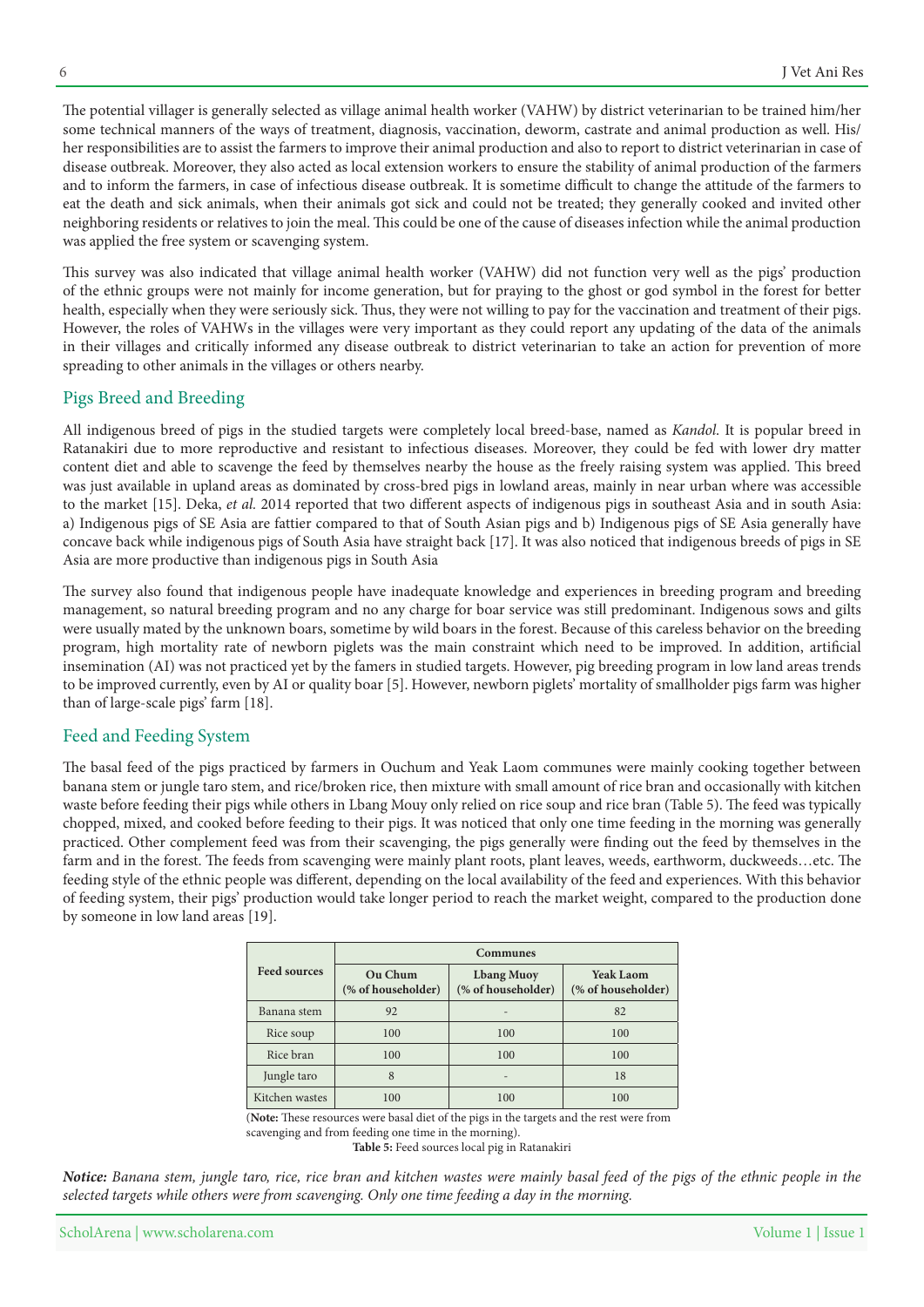The potential villager is generally selected as village animal health worker (VAHW) by district veterinarian to be trained him/her some technical manners of the ways of treatment, diagnosis, vaccination, deworm, castrate and animal production as well. His/ her responsibilities are to assist the farmers to improve their animal production and also to report to district veterinarian in case of disease outbreak. Moreover, they also acted as local extension workers to ensure the stability of animal production of the farmers and to inform the farmers, in case of infectious disease outbreak. It is sometime difficult to change the attitude of the farmers to eat the death and sick animals, when their animals got sick and could not be treated; they generally cooked and invited other neighboring residents or relatives to join the meal. This could be one of the cause of diseases infection while the animal production was applied the free system or scavenging system.

This survey was also indicated that village animal health worker (VAHW) did not function very well as the pigs' production of the ethnic groups were not mainly for income generation, but for praying to the ghost or god symbol in the forest for better health, especially when they were seriously sick. Thus, they were not willing to pay for the vaccination and treatment of their pigs. However, the roles of VAHWs in the villages were very important as they could report any updating of the data of the animals in their villages and critically informed any disease outbreak to district veterinarian to take an action for prevention of more spreading to other animals in the villages or others nearby.

#### Pigs Breed and Breeding

All indigenous breed of pigs in the studied targets were completely local breed-base, named as *Kandol*. It is popular breed in Ratanakiri due to more reproductive and resistant to infectious diseases. Moreover, they could be fed with lower dry matter content diet and able to scavenge the feed by themselves nearby the house as the freely raising system was applied. This breed was just available in upland areas as dominated by cross-bred pigs in lowland areas, mainly in near urban where was accessible to the market [15]. Deka, et al. 2014 reported that two different aspects of indigenous pigs in southeast Asia and in south Asia: a) Indigenous pigs of SE Asia are fattier compared to that of South Asian pigs and b) Indigenous pigs of SE Asia generally have concave back while indigenous pigs of South Asia have straight back [17]. It was also noticed that indigenous breeds of pigs in SE Asia are more productive than indigenous pigs in South Asia

The survey also found that indigenous people have inadequate knowledge and experiences in breeding program and breeding management, so natural breeding program and no any charge for boar service was still predominant. Indigenous sows and gilts were usually mated by the unknown boars, sometime by wild boars in the forest. Because of this careless behavior on the breeding program, high mortality rate of newborn piglets was the main constraint which need to be improved. In addition, artificial insemination (AI) was not practiced yet by the famers in studied targets. However, pig breeding program in low land areas trends to be improved currently, even by AI or quality boar [5]. However, newborn piglets' mortality of smallholder pigs farm was higher than of large-scale pigs' farm [18].

### Feed and Feeding System

The basal feed of the pigs practiced by farmers in Ouchum and Yeak Laom communes were mainly cooking together between banana stem or jungle taro stem, and rice/broken rice, then mixture with small amount of rice bran and occasionally with kitchen waste before feeding their pigs while others in Lbang Mouy only relied on rice soup and rice bran (Table 5). The feed was typically chopped, mixed, and cooked before feeding to their pigs. It was noticed that only one time feeding in the morning was generally practiced. Other complement feed was from their scavenging, the pigs generally were finding out the feed by themselves in the farm and in the forest. The feeds from scavenging were mainly plant roots, plant leaves, weeds, earthworm, duckweeds...etc. The feeding style of the ethnic people was different, depending on the local availability of the feed and experiences. With this behavior of feeding system, their pigs' production would take longer period to reach the market weight, compared to the production done by someone in low land areas [19].

|                     | <b>Communes</b>               |                                         |                                        |  |
|---------------------|-------------------------------|-----------------------------------------|----------------------------------------|--|
| <b>Feed sources</b> | Ou Chum<br>(% of householder) | <b>Lbang Muoy</b><br>(% of householder) | <b>Yeak Laom</b><br>(% of householder) |  |
| Banana stem         | 92                            |                                         | 82                                     |  |
| Rice soup           | 100                           | 100                                     | 100                                    |  |
| Rice bran           | 100                           | 100                                     | 100                                    |  |
| Jungle taro         | 8                             | $\overline{\phantom{0}}$                | 18                                     |  |
| Kitchen wastes      | 100                           | 100                                     | 100                                    |  |

(Note: These resources were basal diet of the pigs in the targets and the rest were from scavenging and from feeding one time in the morning).

Table 5: Feed sources local pig in Ratanakiri

*Notice: Banana stem, jungle taro, rice, rice bran and kitchen wastes were mainly basal feed of the pigs of the ethnic people in the* selected targets while others were from scavenging. Only one time feeding a day in the morning.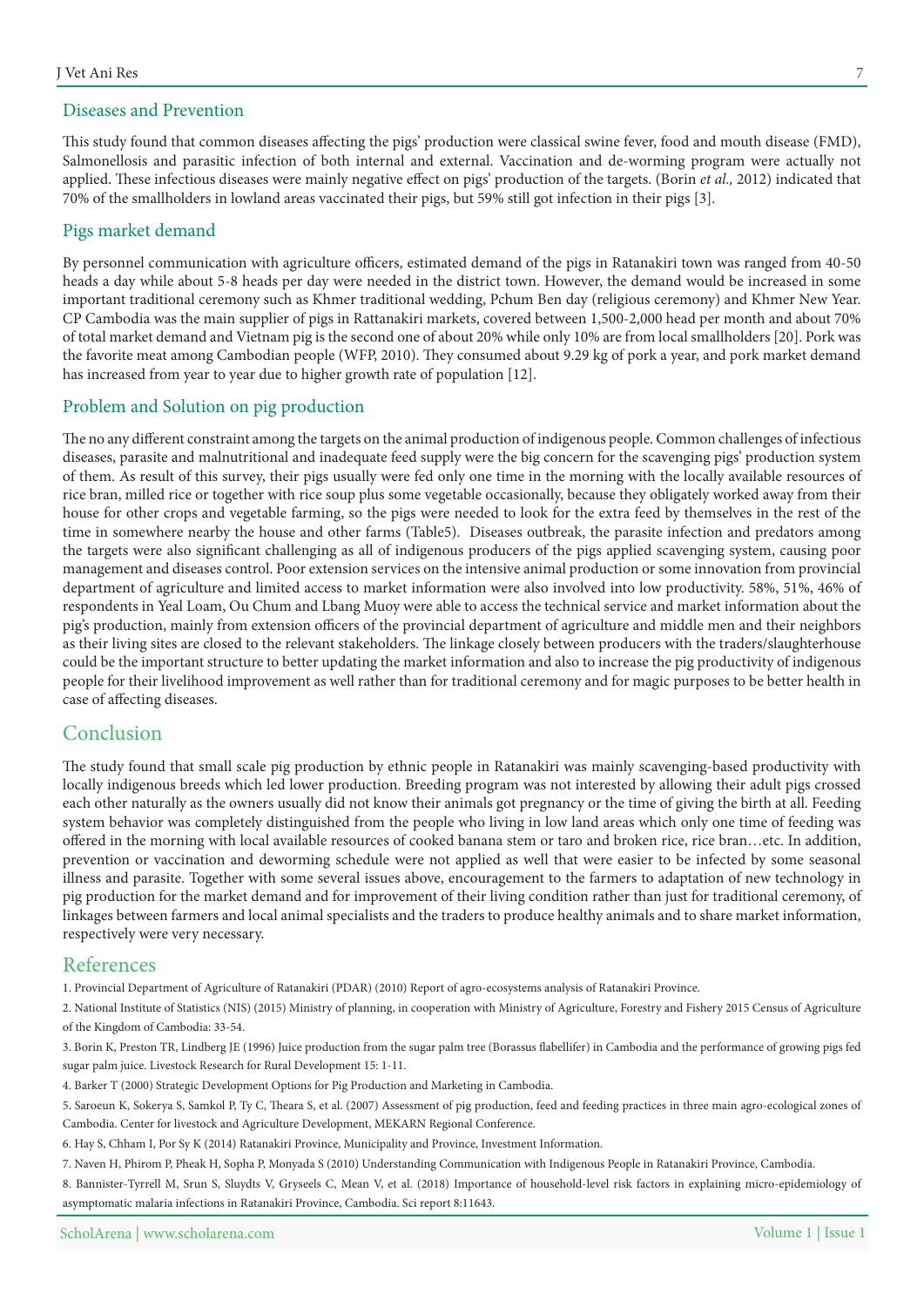#### Diseases and Prevention

This study found that common diseases affecting the pigs' production were classical swine fever, food and mouth disease (FMD), Salmonellosis and parasitic infection of both internal and external. Vaccination and de-worming program were actually not applied. These infectious diseases were mainly negative effect on pigs' production of the targets. (Borin et al., 2012) indicated that 70% of the smallholders in lowland areas vaccinated their pigs, but 59% still got infection in their pigs [3].

#### Pigs market demand

By personnel communication with agriculture officers, estimated demand of the pigs in Ratanakiri town was ranged from 40-50 heads a day while about 5-8 heads per day were needed in the district town. However, the demand would be increased in some important traditional ceremony such as Khmer traditional wedding, Pchum Ben day (religious ceremony) and Khmer New Year. CP Cambodia was the main supplier of pigs in Rattanakiri markets, covered between 1,500-2,000 head per month and about 70% of total market demand and Vietnam pig is the second one of about 20% while only 10% are from local smallholders [20]. Pork was the favorite meat among Cambodian people (WFP, 2010). They consumed about 9.29 kg of pork a year, and pork market demand has increased from year to year due to higher growth rate of population [12].

### Problem and Solution on pig production

The no any different constraint among the targets on the animal production of indigenous people. Common challenges of infectious diseases, parasite and malnutritional and inadequate feed supply were the big concern for the scavenging pigs' production system of them. As result of this survey, their pigs usually were fed only one time in the morning with the locally available resources of rice bran, milled rice or together with rice soup plus some vegetable occasionally, because they obligately worked away from their house for other crops and vegetable farming, so the pigs were needed to look for the extra feed by themselves in the rest of the time in somewhere nearby the house and other farms (Table5). Diseases outbreak, the parasite infection and predators among the targets were also significant challenging as all of indigenous producers of the pigs applied scavenging system, causing poor management and diseases control. Poor extension services on the intensive animal production or some innovation from provincial department of agriculture and limited access to market information were also involved into low productivity. 58%, 51%, 46% of respondents in Yeal Loam, Ou Chum and Lbang Muoy were able to access the technical service and market information about the pig's production, mainly from extension officers of the provincial department of agriculture and middle men and their neighbors as their living sites are closed to the relevant stakeholders. The linkage closely between producers with the traders/slaughterhouse could be the important structure to better updating the market information and also to increase the pig productivity of indigenous people for their livelihood improvement as well rather than for traditional ceremony and for magic purposes to be better health in case of affecting diseases.

# Conclusion

The study found that small scale pig production by ethnic people in Ratanakiri was mainly scavenging-based productivity with locally indigenous breeds which led lower production. Breeding program was not interested by allowing their adult pigs crossed each other naturally as the owners usually did not know their animals got pregnancy or the time of giving the birth at all. Feeding system behavior was completely distinguished from the people who living in low land areas which only one time of feeding was offered in the morning with local available resources of cooked banana stem or taro and broken rice, rice bran...etc. In addition, prevention or vaccination and deworming schedule were not applied as well that were easier to be infected by some seasonal illness and parasite. Together with some several issues above, encouragement to the farmers to adaptation of new technology in pig production for the market demand and for improvement of their living condition rather than just for traditional ceremony, of linkages between farmers and local animal specialists and the traders to produce healthy animals and to share market information, respectively were very necessary.

### References

1. Provincial Department of Agriculture of Ratanakiri (PDAR) (2010) Report of agro-ecosystems analysis of Ratanakiri Province.

2. National Institute of Statistics (NIS) (2015) Ministry of planning, in cooperation with Ministry of Agriculture, Forestry and Fishery 2015 Census of Agriculture of the Kingdom of Cambodia: 33-54.

3. Borin K, Preston TR, Lindberg JE (1996) Juice production from the sugar palm tree (Borassus flabellifer) in Cambodia and the performance of growing pigs fed sugar palm juice. Livestock Research for Rural Development 15: 1-11.

4. Barker T (2000) Strategic Development Options for Pig Production and Marketing in Cambodia.

5. Saroeun K, Sokerya S, Samkol P, Ty C, Theara S, et al. (2007) Assessment of pig production, feed and feeding practices in three main agro-ecological zones of Cambodia. Center for livestock and Agriculture Development, MEKARN Regional Conference.

6. Hay S, Chham I, Por Sy K (2014) Ratanakiri Province, Municipality and Province, Investment Information.

7. Naven H, Phirom P, Pheak H, Sopha P, Monyada S (2010) Understanding Communication with Indigenous People in Ratanakiri Province, Cambodia.

8. Bannister-Tyrrell M, Srun S, Sluydts V, Gryseels C, Mean V, et al. (2018) Importance of household-level risk factors in explaining micro-epidemiology of asymptomatic malaria infections in Ratanakiri Province, Cambodia. Sci report 8:11643.